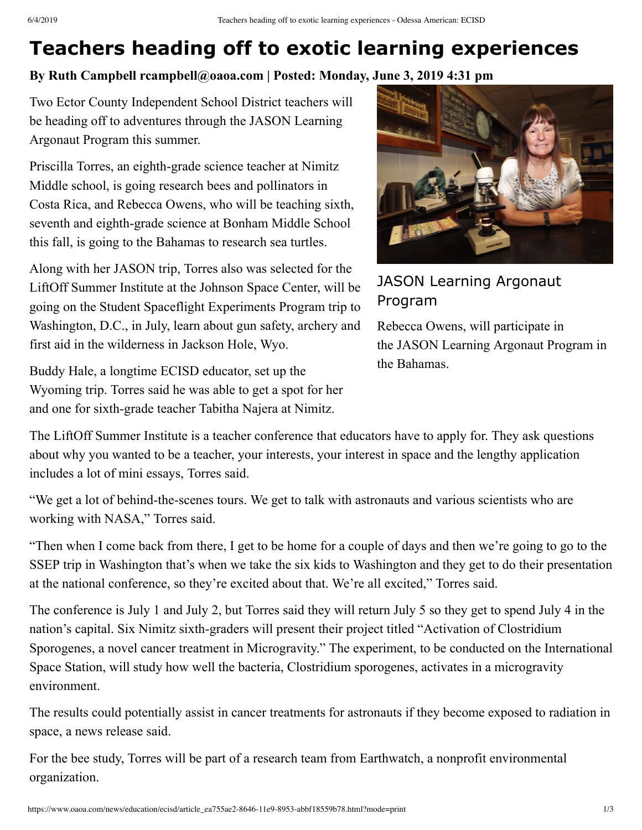## **Teachers heading off to exotic learning experiences**

## **By Ruth Campbell rcampbell@oaoa.com | Posted: Monday, June 3, 2019 4:31 pm**

Two Ector County Independent School District teachers will [be heading off to adventures through the](https://www.jason.org/argonauts)  JASON Learning Argonaut Program this summer.

Priscilla Torres, an eighth-grade science teacher at Nimitz Middle school, is going research bees and pollinators in Costa Rica, and Rebecca Owens, who will be teaching sixth, seventh and eighth-grade science at Bonham Middle School this fall, is going to the Bahamas to research sea turtles.

Along with her JASON trip, Torres also was selected for the LiftOff Summer Institute at the Johnson Space Center, will be going on the Student Spaceflight Experiments Program trip to Washington, D.C., in July, learn about gun safety, archery and first aid in the wilderness in Jackson Hole, Wyo.

Buddy Hale, a longtime ECISD educator, set up the Wyoming trip. Torres said he was able to get a spot for her and one for sixth-grade teacher Tabitha Najera at Nimitz.



## JASON Learning Argonaut Program

Rebecca Owens, will participate in the JASON Learning Argonaut Program in the Bahamas.

The LiftOff Summer Institute is a teacher conference that educators have to apply for. They ask questions about why you wanted to be a teacher, your interests, your interest in space and the lengthy application includes a lot of mini essays, Torres said.

"We get a lot of behind-the-scenes tours. We get to talk with astronauts and various scientists who are working with NASA," Torres said.

"Then when I come back from there, I get to be home for a couple of days and then we're going to go to the SSEP trip in Washington that's when we take the six kids to Washington and they get to do their presentation at the national conference, so they're excited about that. We're all excited," Torres said.

The conference is July 1 and July 2, but Torres said they will return July 5 so they get to spend July 4 in the nation's capital. Six Nimitz sixth-graders will present their project titled "Activation of Clostridium Sporogenes, a novel cancer treatment in Microgravity." The experiment, to be conducted on the International Space Station, will study how well the bacteria, Clostridium sporogenes, activates in a microgravity environment.

The results could potentially assist in cancer treatments for astronauts if they become exposed to radiation in space, a news release said.

For the bee study, Torres will be part of a research team from Earthwatch, a nonprofit environmental organization.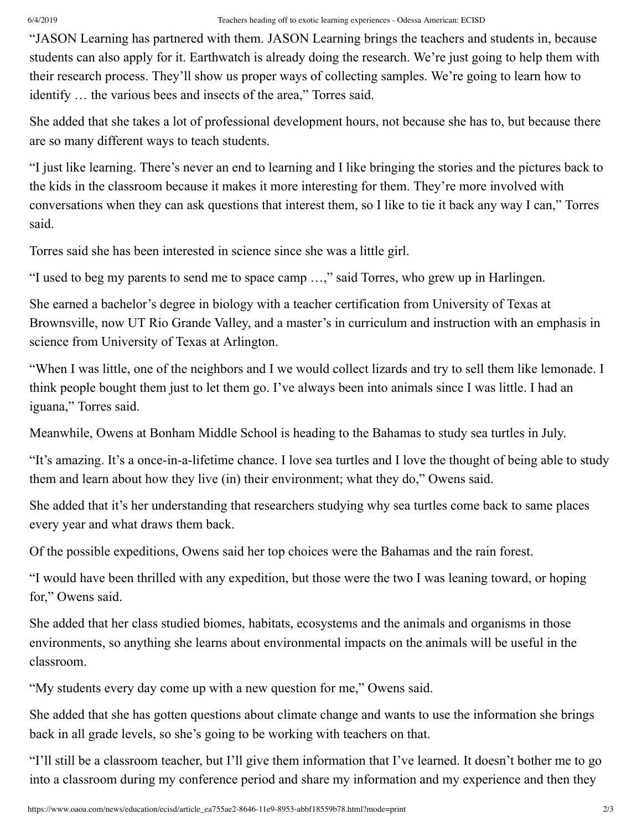## 6/4/2019 Teachers heading off to exotic learning experiences - Odessa American: ECISD

"JASON Learning has partnered with them. JASON Learning brings the teachers and students in, because students can also apply for it. Earthwatch is already doing the research. We're just going to help them with their research process. They'll show us proper ways of collecting samples. We're going to learn how to identify … the various bees and insects of the area," Torres said.

She added that she takes a lot of professional development hours, not because she has to, but because there are so many different ways to teach students.

"I just like learning. There's never an end to learning and I like bringing the stories and the pictures back to the kids in the classroom because it makes it more interesting for them. They're more involved with conversations when they can ask questions that interest them, so I like to tie it back any way I can," Torres said.

Torres said she has been interested in science since she was a little girl.

"I used to beg my parents to send me to space camp …," said Torres, who grew up in Harlingen.

She earned a bachelor's degree in biology with a teacher certification from University of Texas at Brownsville, now UT Rio Grande Valley, and a master's in curriculum and instruction with an emphasis in science from University of Texas at Arlington.

"When I was little, one of the neighbors and I we would collect lizards and try to sell them like lemonade. I think people bought them just to let them go. I've always been into animals since I was little. I had an iguana," Torres said.

Meanwhile, Owens at Bonham Middle School is heading to the Bahamas to study sea turtles in July.

"It's amazing. It's a once-in-a-lifetime chance. I love sea turtles and I love the thought of being able to study them and learn about how they live (in) their environment; what they do," Owens said.

She added that it's her understanding that researchers studying why sea turtles come back to same places every year and what draws them back.

Of the possible expeditions, Owens said her top choices were the Bahamas and the rain forest.

"I would have been thrilled with any expedition, but those were the two I was leaning toward, or hoping for," Owens said.

She added that her class studied biomes, habitats, ecosystems and the animals and organisms in those environments, so anything she learns about environmental impacts on the animals will be useful in the classroom.

"My students every day come up with a new question for me," Owens said.

She added that she has gotten questions about climate change and wants to use the information she brings back in all grade levels, so she's going to be working with teachers on that.

"I'll still be a classroom teacher, but I'll give them information that I've learned. It doesn't bother me to go into a classroom during my conference period and share my information and my experience and then they